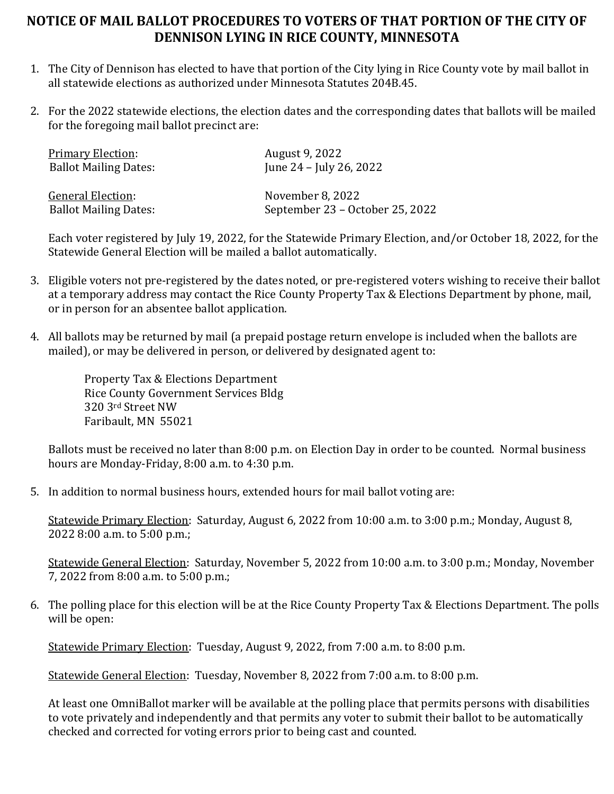## **NOTICE OF MAIL BALLOT PROCEDURES TO VOTERS OF THAT PORTION OF THE CITY OF DENNISON LYING IN RICE COUNTY, MINNESOTA**

- 1. The City of Dennison has elected to have that portion of the City lying in Rice County vote by mail ballot in all statewide elections as authorized under Minnesota Statutes 204B.45.
- 2. For the 2022 statewide elections, the election dates and the corresponding dates that ballots will be mailed for the foregoing mail ballot precinct are:

| <b>Primary Election:</b>     | August 9, 2022                  |
|------------------------------|---------------------------------|
| <b>Ballot Mailing Dates:</b> | June 24 – July 26, 2022         |
| <b>General Election:</b>     | November 8, 2022                |
| <b>Ballot Mailing Dates:</b> | September 23 – October 25, 2022 |

Each voter registered by July 19, 2022, for the Statewide Primary Election, and/or October 18, 2022, for the Statewide General Election will be mailed a ballot automatically.

- 3. Eligible voters not pre-registered by the dates noted, or pre-registered voters wishing to receive their ballot at a temporary address may contact the Rice County Property Tax & Elections Department by phone, mail, or in person for an absentee ballot application.
- 4. All ballots may be returned by mail (a prepaid postage return envelope is included when the ballots are mailed), or may be delivered in person, or delivered by designated agent to:

Property Tax & Elections Department Rice County Government Services Bldg 320 3rd Street NW Faribault, MN 55021

Ballots must be received no later than 8:00 p.m. on Election Day in order to be counted. Normal business hours are Monday-Friday, 8:00 a.m. to 4:30 p.m.

5. In addition to normal business hours, extended hours for mail ballot voting are:

Statewide Primary Election: Saturday, August 6, 2022 from 10:00 a.m. to 3:00 p.m.; Monday, August 8, 2022 8:00 a.m. to 5:00 p.m.;

Statewide General Election: Saturday, November 5, 2022 from 10:00 a.m. to 3:00 p.m.; Monday, November 7, 2022 from 8:00 a.m. to 5:00 p.m.;

6. The polling place for this election will be at the Rice County Property Tax & Elections Department. The polls will be open:

Statewide Primary Election: Tuesday, August 9, 2022, from 7:00 a.m. to 8:00 p.m.

Statewide General Election: Tuesday, November 8, 2022 from 7:00 a.m. to 8:00 p.m.

At least one OmniBallot marker will be available at the polling place that permits persons with disabilities to vote privately and independently and that permits any voter to submit their ballot to be automatically checked and corrected for voting errors prior to being cast and counted.